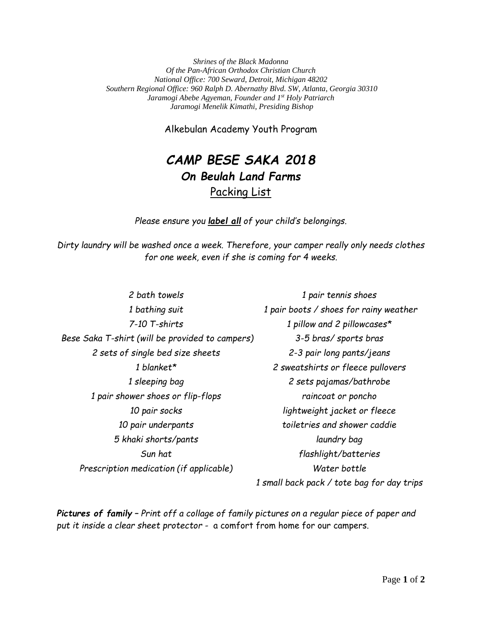*Shrines of the Black Madonna Of the Pan-African Orthodox Christian Church National Office: 700 Seward, Detroit, Michigan 48202 Southern Regional Office: 960 Ralph D. Abernathy Blvd. SW, Atlanta, Georgia 30310 Jaramogi Abebe Agyeman, Founder and 1st Holy Patriarch Jaramogi Menelik Kimathi, Presiding Bishop*

Alkebulan Academy Youth Program

## *CAMP BESE SAKA 2018 On Beulah Land Farms*  Packing List

*Please ensure you label all of your child's belongings.*

*Dirty laundry will be washed once a week. Therefore, your camper really only needs clothes for one week, even if she is coming for 4 weeks.*

*2 bath towels 1 pair tennis shoes 1 bathing suit 1 pair boots / shoes for rainy weather 7-10 T-shirts 1 pillow and 2 pillowcases\* Bese Saka T-shirt (will be provided to campers) 3-5 bras/ sports bras 2 sets of single bed size sheets 2-3 pair long pants/jeans 1 blanket\* 2 sweatshirts or fleece pullovers 1 sleeping bag 2 sets pajamas/bathrobe 1 pair shower shoes or flip-flops raincoat or poncho 10 pair socks lightweight jacket or fleece 10 pair underpants toiletries and shower caddie 5 khaki shorts/pants laundry bag Sun hat flashlight/batteries Prescription medication (if applicable) Water bottle 1 small back pack / tote bag for day trips* 

*Pictures of family – Print off a collage of family pictures on a regular piece of paper and put it inside a clear sheet protector -* a comfort from home for our campers.